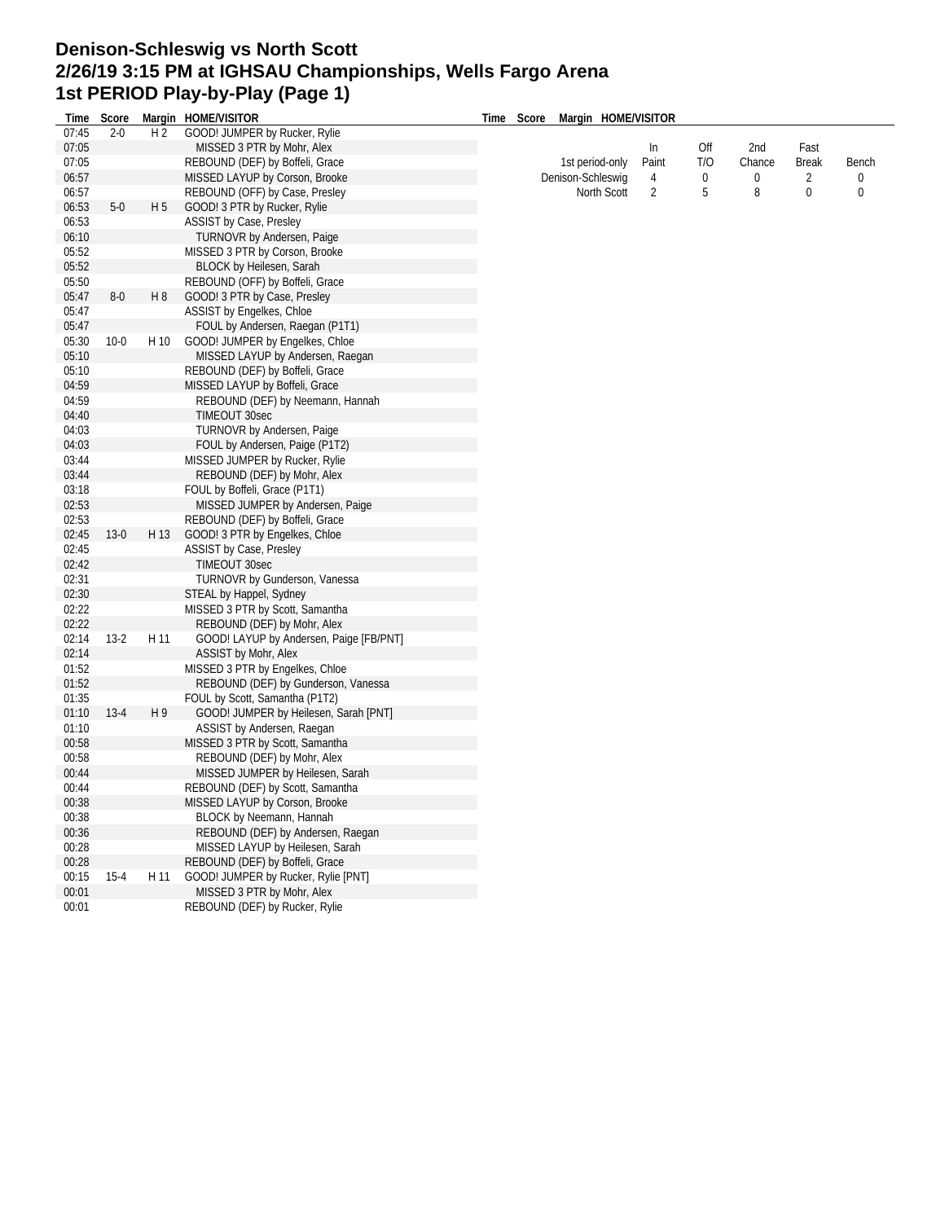## **Denison-Schleswig vs North Scott 2/26/19 3:15 PM at IGHSAU Championships, Wells Fargo Arena 1st PERIOD Play-by-Play (Page 1)**

| 07:45 | $2 - 0$  | H <sub>2</sub> | Time Score Margin HOME/VISITOR<br>GOOD! JUMPER by Rucker, Rylie | Time Score Margin HOME/VISITOR |       |        |        |                |       |
|-------|----------|----------------|-----------------------------------------------------------------|--------------------------------|-------|--------|--------|----------------|-------|
|       |          |                |                                                                 |                                |       |        |        |                |       |
| 07:05 |          |                | MISSED 3 PTR by Mohr, Alex                                      |                                | In    | Off    | 2nd    | Fast           |       |
| 07:05 |          |                | REBOUND (DEF) by Boffeli, Grace                                 | 1st period-only                | Paint | T/O    | Chance | <b>Break</b>   | Bench |
| 06:57 |          |                | MISSED LAYUP by Corson, Brooke                                  | Denison-Schleswig              | 4     | 0<br>5 | 0      | $\overline{c}$ | 0     |
| 06:57 |          |                | REBOUND (OFF) by Case, Presley                                  | North Scott                    | 2     |        | 8      | 0              | 0     |
| 06:53 | $5-0$    | H <sub>5</sub> | GOOD! 3 PTR by Rucker, Rylie                                    |                                |       |        |        |                |       |
| 06:53 |          |                | ASSIST by Case, Presley                                         |                                |       |        |        |                |       |
| 06:10 |          |                | TURNOVR by Andersen, Paige                                      |                                |       |        |        |                |       |
| 05:52 |          |                | MISSED 3 PTR by Corson, Brooke                                  |                                |       |        |        |                |       |
| 05:52 |          |                | BLOCK by Heilesen, Sarah                                        |                                |       |        |        |                |       |
| 05:50 |          |                | REBOUND (OFF) by Boffeli, Grace                                 |                                |       |        |        |                |       |
| 05:47 | $8-0$    | H 8            | GOOD! 3 PTR by Case, Presley                                    |                                |       |        |        |                |       |
| 05:47 |          |                | ASSIST by Engelkes, Chloe                                       |                                |       |        |        |                |       |
| 05:47 |          |                | FOUL by Andersen, Raegan (P1T1)                                 |                                |       |        |        |                |       |
| 05:30 | $10-0$   | H 10           | GOOD! JUMPER by Engelkes, Chloe                                 |                                |       |        |        |                |       |
| 05:10 |          |                | MISSED LAYUP by Andersen, Raegan                                |                                |       |        |        |                |       |
| 05:10 |          |                | REBOUND (DEF) by Boffeli, Grace                                 |                                |       |        |        |                |       |
| 04:59 |          |                | MISSED LAYUP by Boffeli, Grace                                  |                                |       |        |        |                |       |
| 04:59 |          |                | REBOUND (DEF) by Neemann, Hannah                                |                                |       |        |        |                |       |
| 04:40 |          |                | TIMEOUT 30sec                                                   |                                |       |        |        |                |       |
| 04:03 |          |                | TURNOVR by Andersen, Paige                                      |                                |       |        |        |                |       |
| 04:03 |          |                | FOUL by Andersen, Paige (P1T2)                                  |                                |       |        |        |                |       |
| 03:44 |          |                | MISSED JUMPER by Rucker, Rylie                                  |                                |       |        |        |                |       |
| 03:44 |          |                | REBOUND (DEF) by Mohr, Alex                                     |                                |       |        |        |                |       |
| 03:18 |          |                | FOUL by Boffeli, Grace (P1T1)                                   |                                |       |        |        |                |       |
| 02:53 |          |                | MISSED JUMPER by Andersen, Paige                                |                                |       |        |        |                |       |
| 02:53 |          |                | REBOUND (DEF) by Boffeli, Grace                                 |                                |       |        |        |                |       |
| 02:45 | $13-0$   | H 13           | GOOD! 3 PTR by Engelkes, Chloe                                  |                                |       |        |        |                |       |
| 02:45 |          |                | ASSIST by Case, Presley                                         |                                |       |        |        |                |       |
| 02:42 |          |                | <b>TIMEOUT 30sec</b>                                            |                                |       |        |        |                |       |
| 02:31 |          |                | TURNOVR by Gunderson, Vanessa                                   |                                |       |        |        |                |       |
| 02:30 |          |                | STEAL by Happel, Sydney                                         |                                |       |        |        |                |       |
| 02:22 |          |                | MISSED 3 PTR by Scott, Samantha                                 |                                |       |        |        |                |       |
| 02:22 |          |                | REBOUND (DEF) by Mohr, Alex                                     |                                |       |        |        |                |       |
| 02:14 | $13-2$   | H 11           | GOOD! LAYUP by Andersen, Paige [FB/PNT]                         |                                |       |        |        |                |       |
| 02:14 |          |                | ASSIST by Mohr, Alex                                            |                                |       |        |        |                |       |
| 01:52 |          |                | MISSED 3 PTR by Engelkes, Chloe                                 |                                |       |        |        |                |       |
| 01:52 |          |                | REBOUND (DEF) by Gunderson, Vanessa                             |                                |       |        |        |                |       |
| 01:35 |          |                | FOUL by Scott, Samantha (P1T2)                                  |                                |       |        |        |                |       |
| 01:10 | $13-4$   | H 9            | GOOD! JUMPER by Heilesen, Sarah [PNT]                           |                                |       |        |        |                |       |
| 01:10 |          |                | ASSIST by Andersen, Raegan                                      |                                |       |        |        |                |       |
| 00:58 |          |                | MISSED 3 PTR by Scott, Samantha                                 |                                |       |        |        |                |       |
| 00:58 |          |                | REBOUND (DEF) by Mohr, Alex                                     |                                |       |        |        |                |       |
| 00:44 |          |                | MISSED JUMPER by Heilesen, Sarah                                |                                |       |        |        |                |       |
| 00:44 |          |                | REBOUND (DEF) by Scott, Samantha                                |                                |       |        |        |                |       |
| 00:38 |          |                | MISSED LAYUP by Corson, Brooke                                  |                                |       |        |        |                |       |
| 00:38 |          |                | BLOCK by Neemann, Hannah                                        |                                |       |        |        |                |       |
| 00:36 |          |                | REBOUND (DEF) by Andersen, Raegan                               |                                |       |        |        |                |       |
| 00:28 |          |                | MISSED LAYUP by Heilesen, Sarah                                 |                                |       |        |        |                |       |
| 00:28 |          |                | REBOUND (DEF) by Boffeli, Grace                                 |                                |       |        |        |                |       |
| 00:15 | $15 - 4$ | H 11           | GOOD! JUMPER by Rucker, Rylie [PNT]                             |                                |       |        |        |                |       |
| 00:01 |          |                | MISSED 3 PTR by Mohr, Alex                                      |                                |       |        |        |                |       |
| 00:01 |          |                | REBOUND (DEF) by Rucker, Rylie                                  |                                |       |        |        |                |       |
|       |          |                |                                                                 |                                |       |        |        |                |       |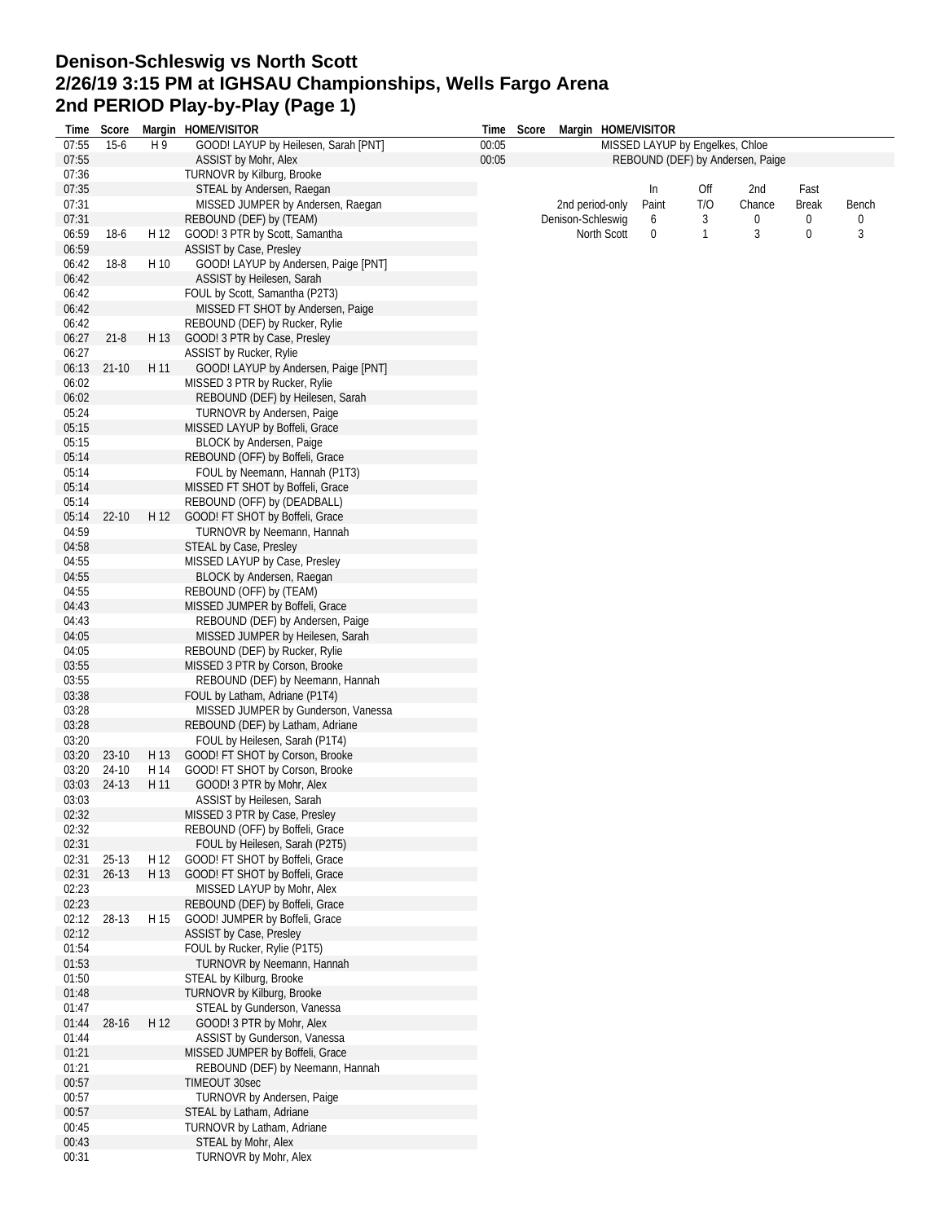## **Denison-Schleswig vs North Scott 2/26/19 3:15 PM at IGHSAU Championships, Wells Fargo Arena 2nd PERIOD Play-by-Play (Page 1) Time Score Margin HOME/VISITOR**

| Time  | Score     |      | Margin HOME/VISITOR                  | Time  | Score | Margin HOME/VISITOR |       |                                 |                                  |              |       |
|-------|-----------|------|--------------------------------------|-------|-------|---------------------|-------|---------------------------------|----------------------------------|--------------|-------|
| 07:55 | $15-6$    | H9   | GOOD! LAYUP by Heilesen, Sarah [PNT] | 00:05 |       |                     |       | MISSED LAYUP by Engelkes, Chloe |                                  |              |       |
| 07:55 |           |      | ASSIST by Mohr, Alex                 | 00:05 |       |                     |       |                                 | REBOUND (DEF) by Andersen, Paige |              |       |
| 07:36 |           |      | TURNOVR by Kilburg, Brooke           |       |       |                     |       |                                 |                                  |              |       |
| 07:35 |           |      | STEAL by Andersen, Raegan            |       |       |                     | In    | Off                             | 2nd                              | Fast         |       |
| 07:31 |           |      | MISSED JUMPER by Andersen, Raegan    |       |       | 2nd period-only     | Paint | T/O                             | Chance                           | <b>Break</b> | Bench |
| 07:31 |           |      | REBOUND (DEF) by (TEAM)              |       |       | Denison-Schleswig   | 6     | 3                               | 0                                | 0            | 0     |
| 06:59 | $18-6$    | H 12 | GOOD! 3 PTR by Scott, Samantha       |       |       | North Scott         | 0     | $\mathbf{1}$                    | 3                                | $\bf{0}$     | 3     |
| 06:59 |           |      | ASSIST by Case, Presley              |       |       |                     |       |                                 |                                  |              |       |
| 06:42 | $18-8$    | H 10 | GOOD! LAYUP by Andersen, Paige [PNT] |       |       |                     |       |                                 |                                  |              |       |
| 06:42 |           |      | ASSIST by Heilesen, Sarah            |       |       |                     |       |                                 |                                  |              |       |
|       |           |      |                                      |       |       |                     |       |                                 |                                  |              |       |
| 06:42 |           |      | FOUL by Scott, Samantha (P2T3)       |       |       |                     |       |                                 |                                  |              |       |
| 06:42 |           |      | MISSED FT SHOT by Andersen, Paige    |       |       |                     |       |                                 |                                  |              |       |
| 06:42 |           |      | REBOUND (DEF) by Rucker, Rylie       |       |       |                     |       |                                 |                                  |              |       |
| 06:27 | $21 - 8$  | H 13 | GOOD! 3 PTR by Case, Presley         |       |       |                     |       |                                 |                                  |              |       |
| 06:27 |           |      | ASSIST by Rucker, Rylie              |       |       |                     |       |                                 |                                  |              |       |
| 06:13 | $21-10$   | H 11 | GOOD! LAYUP by Andersen, Paige [PNT] |       |       |                     |       |                                 |                                  |              |       |
| 06:02 |           |      | MISSED 3 PTR by Rucker, Rylie        |       |       |                     |       |                                 |                                  |              |       |
| 06:02 |           |      | REBOUND (DEF) by Heilesen, Sarah     |       |       |                     |       |                                 |                                  |              |       |
| 05:24 |           |      | TURNOVR by Andersen, Paige           |       |       |                     |       |                                 |                                  |              |       |
| 05:15 |           |      | MISSED LAYUP by Boffeli, Grace       |       |       |                     |       |                                 |                                  |              |       |
| 05:15 |           |      | BLOCK by Andersen, Paige             |       |       |                     |       |                                 |                                  |              |       |
| 05:14 |           |      | REBOUND (OFF) by Boffeli, Grace      |       |       |                     |       |                                 |                                  |              |       |
| 05:14 |           |      | FOUL by Neemann, Hannah (P1T3)       |       |       |                     |       |                                 |                                  |              |       |
|       |           |      | MISSED FT SHOT by Boffeli, Grace     |       |       |                     |       |                                 |                                  |              |       |
| 05:14 |           |      |                                      |       |       |                     |       |                                 |                                  |              |       |
| 05:14 |           |      | REBOUND (OFF) by (DEADBALL)          |       |       |                     |       |                                 |                                  |              |       |
| 05:14 | $22 - 10$ | H 12 | GOOD! FT SHOT by Boffeli, Grace      |       |       |                     |       |                                 |                                  |              |       |
| 04:59 |           |      | TURNOVR by Neemann, Hannah           |       |       |                     |       |                                 |                                  |              |       |
| 04:58 |           |      | STEAL by Case, Presley               |       |       |                     |       |                                 |                                  |              |       |
| 04:55 |           |      | MISSED LAYUP by Case, Presley        |       |       |                     |       |                                 |                                  |              |       |
| 04:55 |           |      | BLOCK by Andersen, Raegan            |       |       |                     |       |                                 |                                  |              |       |
| 04:55 |           |      | REBOUND (OFF) by (TEAM)              |       |       |                     |       |                                 |                                  |              |       |
| 04:43 |           |      | MISSED JUMPER by Boffeli, Grace      |       |       |                     |       |                                 |                                  |              |       |
| 04:43 |           |      | REBOUND (DEF) by Andersen, Paige     |       |       |                     |       |                                 |                                  |              |       |
| 04:05 |           |      | MISSED JUMPER by Heilesen, Sarah     |       |       |                     |       |                                 |                                  |              |       |
| 04:05 |           |      | REBOUND (DEF) by Rucker, Rylie       |       |       |                     |       |                                 |                                  |              |       |
| 03:55 |           |      | MISSED 3 PTR by Corson, Brooke       |       |       |                     |       |                                 |                                  |              |       |
| 03:55 |           |      | REBOUND (DEF) by Neemann, Hannah     |       |       |                     |       |                                 |                                  |              |       |
| 03:38 |           |      |                                      |       |       |                     |       |                                 |                                  |              |       |
|       |           |      | FOUL by Latham, Adriane (P1T4)       |       |       |                     |       |                                 |                                  |              |       |
| 03:28 |           |      | MISSED JUMPER by Gunderson, Vanessa  |       |       |                     |       |                                 |                                  |              |       |
| 03:28 |           |      | REBOUND (DEF) by Latham, Adriane     |       |       |                     |       |                                 |                                  |              |       |
| 03:20 |           |      | FOUL by Heilesen, Sarah (P1T4)       |       |       |                     |       |                                 |                                  |              |       |
| 03:20 | 23-10     | H 13 | GOOD! FT SHOT by Corson, Brooke      |       |       |                     |       |                                 |                                  |              |       |
| 03:20 | 24-10     | H 14 | GOOD! FT SHOT by Corson, Brooke      |       |       |                     |       |                                 |                                  |              |       |
| 03:03 | 24-13     | H 11 | GOOD! 3 PTR by Mohr, Alex            |       |       |                     |       |                                 |                                  |              |       |
| 03:03 |           |      | ASSIST by Heilesen, Sarah            |       |       |                     |       |                                 |                                  |              |       |
| 02:32 |           |      | MISSED 3 PTR by Case, Presley        |       |       |                     |       |                                 |                                  |              |       |
| 02:32 |           |      | REBOUND (OFF) by Boffeli, Grace      |       |       |                     |       |                                 |                                  |              |       |
| 02:31 |           |      | FOUL by Heilesen, Sarah (P2T5)       |       |       |                     |       |                                 |                                  |              |       |
| 02:31 | $25-13$   | H 12 | GOOD! FT SHOT by Boffeli, Grace      |       |       |                     |       |                                 |                                  |              |       |
| 02:31 | $26 - 13$ | H 13 | GOOD! FT SHOT by Boffeli, Grace      |       |       |                     |       |                                 |                                  |              |       |
| 02:23 |           |      | MISSED LAYUP by Mohr, Alex           |       |       |                     |       |                                 |                                  |              |       |
| 02:23 |           |      | REBOUND (DEF) by Boffeli, Grace      |       |       |                     |       |                                 |                                  |              |       |
| 02:12 | 28-13     | H 15 | GOOD! JUMPER by Boffeli, Grace       |       |       |                     |       |                                 |                                  |              |       |
| 02:12 |           |      | ASSIST by Case, Presley              |       |       |                     |       |                                 |                                  |              |       |
|       |           |      |                                      |       |       |                     |       |                                 |                                  |              |       |
| 01:54 |           |      | FOUL by Rucker, Rylie (P1T5)         |       |       |                     |       |                                 |                                  |              |       |
| 01:53 |           |      | TURNOVR by Neemann, Hannah           |       |       |                     |       |                                 |                                  |              |       |
| 01:50 |           |      | STEAL by Kilburg, Brooke             |       |       |                     |       |                                 |                                  |              |       |
| 01:48 |           |      | TURNOVR by Kilburg, Brooke           |       |       |                     |       |                                 |                                  |              |       |
| 01:47 |           |      | STEAL by Gunderson, Vanessa          |       |       |                     |       |                                 |                                  |              |       |
| 01:44 | 28-16     | H 12 | GOOD! 3 PTR by Mohr, Alex            |       |       |                     |       |                                 |                                  |              |       |
| 01:44 |           |      | ASSIST by Gunderson, Vanessa         |       |       |                     |       |                                 |                                  |              |       |
| 01:21 |           |      | MISSED JUMPER by Boffeli, Grace      |       |       |                     |       |                                 |                                  |              |       |
| 01:21 |           |      | REBOUND (DEF) by Neemann, Hannah     |       |       |                     |       |                                 |                                  |              |       |
| 00:57 |           |      | TIMEOUT 30sec                        |       |       |                     |       |                                 |                                  |              |       |
| 00:57 |           |      | TURNOVR by Andersen, Paige           |       |       |                     |       |                                 |                                  |              |       |
| 00:57 |           |      | STEAL by Latham, Adriane             |       |       |                     |       |                                 |                                  |              |       |
| 00:45 |           |      | TURNOVR by Latham, Adriane           |       |       |                     |       |                                 |                                  |              |       |
| 00:43 |           |      | STEAL by Mohr, Alex                  |       |       |                     |       |                                 |                                  |              |       |
| 00:31 |           |      | TURNOVR by Mohr, Alex                |       |       |                     |       |                                 |                                  |              |       |
|       |           |      |                                      |       |       |                     |       |                                 |                                  |              |       |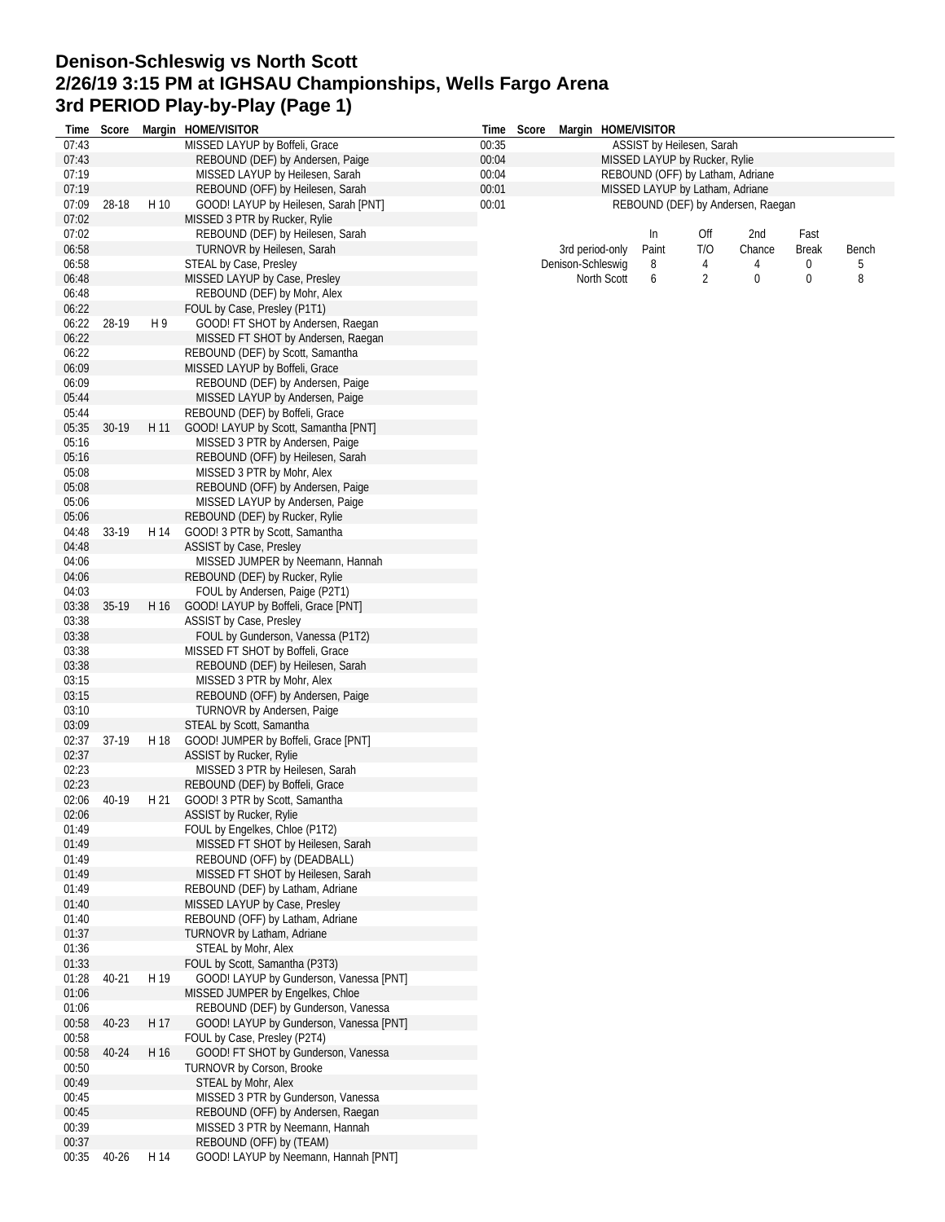## **Denison-Schleswig vs North Scott 2/26/19 3:15 PM at IGHSAU Championships, Wells Fargo Arena 3rd PERIOD Play-by-Play (Page 1)**

| Time           | Score   |      | Margin HOME/VISITOR                                               | Time  | Score |                   |                 | Margin HOME/VISITOR              |     |                                   |              |       |
|----------------|---------|------|-------------------------------------------------------------------|-------|-------|-------------------|-----------------|----------------------------------|-----|-----------------------------------|--------------|-------|
| 07:43          |         |      | MISSED LAYUP by Boffeli, Grace                                    | 00:35 |       |                   |                 | ASSIST by Heilesen, Sarah        |     |                                   |              |       |
| 07:43          |         |      | REBOUND (DEF) by Andersen, Paige                                  | 00:04 |       |                   |                 | MISSED LAYUP by Rucker, Rylie    |     |                                   |              |       |
| 07:19          |         |      | MISSED LAYUP by Heilesen, Sarah                                   | 00:04 |       |                   |                 | REBOUND (OFF) by Latham, Adriane |     |                                   |              |       |
| 07:19          |         |      | REBOUND (OFF) by Heilesen, Sarah                                  | 00:01 |       |                   |                 | MISSED LAYUP by Latham, Adriane  |     |                                   |              |       |
| 07:09<br>07:02 | 28-18   | H 10 | GOOD! LAYUP by Heilesen, Sarah [PNT]                              | 00:01 |       |                   |                 |                                  |     | REBOUND (DEF) by Andersen, Raegan |              |       |
| 07:02          |         |      | MISSED 3 PTR by Rucker, Rylie<br>REBOUND (DEF) by Heilesen, Sarah |       |       |                   |                 | In                               | Off | 2nd                               | Fast         |       |
| 06:58          |         |      | TURNOVR by Heilesen, Sarah                                        |       |       |                   | 3rd period-only | Paint                            | T/O | Chance                            | <b>Break</b> | Bench |
| 06:58          |         |      | STEAL by Case, Presley                                            |       |       | Denison-Schleswig |                 | 8                                | 4   | 4                                 | 0            | 5     |
| 06:48          |         |      | MISSED LAYUP by Case, Presley                                     |       |       |                   | North Scott     | 6                                | 2   | 0                                 | 0            | 8     |
| 06:48          |         |      | REBOUND (DEF) by Mohr, Alex                                       |       |       |                   |                 |                                  |     |                                   |              |       |
| 06:22          |         |      | FOUL by Case, Presley (P1T1)                                      |       |       |                   |                 |                                  |     |                                   |              |       |
| 06:22          | 28-19   | H9   | GOOD! FT SHOT by Andersen, Raegan                                 |       |       |                   |                 |                                  |     |                                   |              |       |
| 06:22          |         |      | MISSED FT SHOT by Andersen, Raegan                                |       |       |                   |                 |                                  |     |                                   |              |       |
| 06:22          |         |      | REBOUND (DEF) by Scott, Samantha                                  |       |       |                   |                 |                                  |     |                                   |              |       |
| 06:09          |         |      | MISSED LAYUP by Boffeli, Grace                                    |       |       |                   |                 |                                  |     |                                   |              |       |
| 06:09          |         |      | REBOUND (DEF) by Andersen, Paige                                  |       |       |                   |                 |                                  |     |                                   |              |       |
| 05:44          |         |      | MISSED LAYUP by Andersen, Paige                                   |       |       |                   |                 |                                  |     |                                   |              |       |
| 05:44          |         |      | REBOUND (DEF) by Boffeli, Grace                                   |       |       |                   |                 |                                  |     |                                   |              |       |
| 05:35          | $30-19$ | H 11 | GOOD! LAYUP by Scott, Samantha [PNT]                              |       |       |                   |                 |                                  |     |                                   |              |       |
| 05:16          |         |      | MISSED 3 PTR by Andersen, Paige                                   |       |       |                   |                 |                                  |     |                                   |              |       |
| 05:16          |         |      | REBOUND (OFF) by Heilesen, Sarah                                  |       |       |                   |                 |                                  |     |                                   |              |       |
| 05:08          |         |      | MISSED 3 PTR by Mohr, Alex                                        |       |       |                   |                 |                                  |     |                                   |              |       |
| 05:08<br>05:06 |         |      | REBOUND (OFF) by Andersen, Paige                                  |       |       |                   |                 |                                  |     |                                   |              |       |
| 05:06          |         |      | MISSED LAYUP by Andersen, Paige<br>REBOUND (DEF) by Rucker, Rylie |       |       |                   |                 |                                  |     |                                   |              |       |
| 04:48          | 33-19   | H 14 | GOOD! 3 PTR by Scott, Samantha                                    |       |       |                   |                 |                                  |     |                                   |              |       |
| 04:48          |         |      | <b>ASSIST by Case, Presley</b>                                    |       |       |                   |                 |                                  |     |                                   |              |       |
| 04:06          |         |      | MISSED JUMPER by Neemann, Hannah                                  |       |       |                   |                 |                                  |     |                                   |              |       |
| 04:06          |         |      | REBOUND (DEF) by Rucker, Rylie                                    |       |       |                   |                 |                                  |     |                                   |              |       |
| 04:03          |         |      | FOUL by Andersen, Paige (P2T1)                                    |       |       |                   |                 |                                  |     |                                   |              |       |
| 03:38          | 35-19   | H 16 | GOOD! LAYUP by Boffeli, Grace [PNT]                               |       |       |                   |                 |                                  |     |                                   |              |       |
| 03:38          |         |      | ASSIST by Case, Presley                                           |       |       |                   |                 |                                  |     |                                   |              |       |
| 03:38          |         |      | FOUL by Gunderson, Vanessa (P1T2)                                 |       |       |                   |                 |                                  |     |                                   |              |       |
| 03:38          |         |      | MISSED FT SHOT by Boffeli, Grace                                  |       |       |                   |                 |                                  |     |                                   |              |       |
| 03:38          |         |      | REBOUND (DEF) by Heilesen, Sarah                                  |       |       |                   |                 |                                  |     |                                   |              |       |
| 03:15          |         |      | MISSED 3 PTR by Mohr, Alex                                        |       |       |                   |                 |                                  |     |                                   |              |       |
| 03:15          |         |      | REBOUND (OFF) by Andersen, Paige                                  |       |       |                   |                 |                                  |     |                                   |              |       |
| 03:10          |         |      | TURNOVR by Andersen, Paige                                        |       |       |                   |                 |                                  |     |                                   |              |       |
| 03:09<br>02:37 | 37-19   | H 18 | STEAL by Scott, Samantha<br>GOOD! JUMPER by Boffeli, Grace [PNT]  |       |       |                   |                 |                                  |     |                                   |              |       |
| 02:37          |         |      | ASSIST by Rucker, Rylie                                           |       |       |                   |                 |                                  |     |                                   |              |       |
| 02:23          |         |      | MISSED 3 PTR by Heilesen, Sarah                                   |       |       |                   |                 |                                  |     |                                   |              |       |
| 02:23          |         |      | REBOUND (DEF) by Boffeli, Grace                                   |       |       |                   |                 |                                  |     |                                   |              |       |
| 02:06          | 40-19   | H 21 | GOOD! 3 PTR by Scott, Samantha                                    |       |       |                   |                 |                                  |     |                                   |              |       |
| 02:06          |         |      | ASSIST by Rucker, Rylie                                           |       |       |                   |                 |                                  |     |                                   |              |       |
| 01:49          |         |      | FOUL by Engelkes, Chloe (P1T2)                                    |       |       |                   |                 |                                  |     |                                   |              |       |
| 01:49          |         |      | MISSED FT SHOT by Heilesen, Sarah                                 |       |       |                   |                 |                                  |     |                                   |              |       |
| 01:49          |         |      | REBOUND (OFF) by (DEADBALL)                                       |       |       |                   |                 |                                  |     |                                   |              |       |
| 01:49          |         |      | MISSED FT SHOT by Heilesen, Sarah                                 |       |       |                   |                 |                                  |     |                                   |              |       |
| 01:49          |         |      | REBOUND (DEF) by Latham, Adriane                                  |       |       |                   |                 |                                  |     |                                   |              |       |
| 01:40          |         |      | MISSED LAYUP by Case, Presley                                     |       |       |                   |                 |                                  |     |                                   |              |       |
| 01:40          |         |      | REBOUND (OFF) by Latham, Adriane                                  |       |       |                   |                 |                                  |     |                                   |              |       |
| 01:37<br>01:36 |         |      | TURNOVR by Latham, Adriane                                        |       |       |                   |                 |                                  |     |                                   |              |       |
| 01:33          |         |      | STEAL by Mohr, Alex<br>FOUL by Scott, Samantha (P3T3)             |       |       |                   |                 |                                  |     |                                   |              |       |
| 01:28          | 40-21   | H 19 | GOOD! LAYUP by Gunderson, Vanessa [PNT]                           |       |       |                   |                 |                                  |     |                                   |              |       |
| 01:06          |         |      | MISSED JUMPER by Engelkes, Chloe                                  |       |       |                   |                 |                                  |     |                                   |              |       |
| 01:06          |         |      | REBOUND (DEF) by Gunderson, Vanessa                               |       |       |                   |                 |                                  |     |                                   |              |       |
| 00:58          | 40-23   | H 17 | GOOD! LAYUP by Gunderson, Vanessa [PNT]                           |       |       |                   |                 |                                  |     |                                   |              |       |
| 00:58          |         |      | FOUL by Case, Presley (P2T4)                                      |       |       |                   |                 |                                  |     |                                   |              |       |
| 00:58          | 40-24   | H 16 | GOOD! FT SHOT by Gunderson, Vanessa                               |       |       |                   |                 |                                  |     |                                   |              |       |
| 00:50          |         |      | TURNOVR by Corson, Brooke                                         |       |       |                   |                 |                                  |     |                                   |              |       |
| 00:49          |         |      | STEAL by Mohr, Alex                                               |       |       |                   |                 |                                  |     |                                   |              |       |
| 00:45          |         |      | MISSED 3 PTR by Gunderson, Vanessa                                |       |       |                   |                 |                                  |     |                                   |              |       |
| 00:45          |         |      | REBOUND (OFF) by Andersen, Raegan                                 |       |       |                   |                 |                                  |     |                                   |              |       |
| 00:39          |         |      | MISSED 3 PTR by Neemann, Hannah                                   |       |       |                   |                 |                                  |     |                                   |              |       |
| 00:37          |         |      | REBOUND (OFF) by (TEAM)                                           |       |       |                   |                 |                                  |     |                                   |              |       |
| 00:35          | 40-26   | H 14 | GOOD! LAYUP by Neemann, Hannah [PNT]                              |       |       |                   |                 |                                  |     |                                   |              |       |